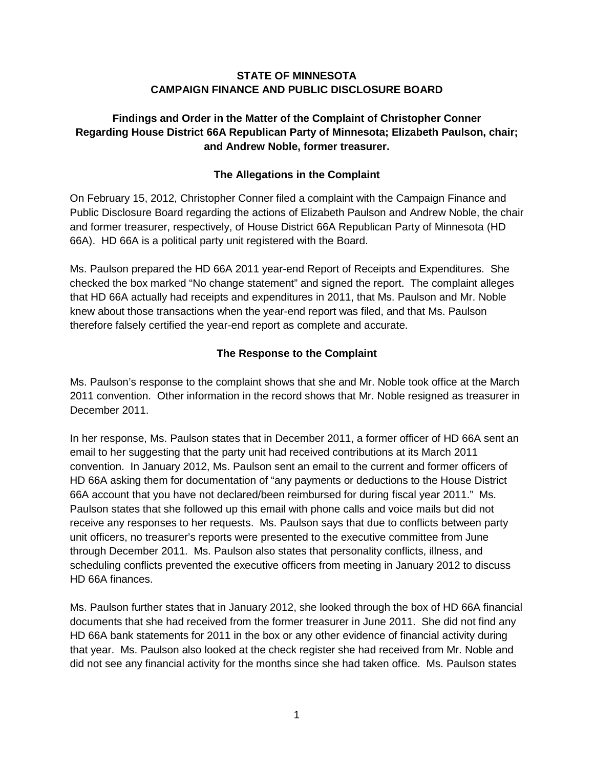### **STATE OF MINNESOTA CAMPAIGN FINANCE AND PUBLIC DISCLOSURE BOARD**

# **Findings and Order in the Matter of the Complaint of Christopher Conner Regarding House District 66A Republican Party of Minnesota; Elizabeth Paulson, chair; and Andrew Noble, former treasurer.**

# **The Allegations in the Complaint**

On February 15, 2012, Christopher Conner filed a complaint with the Campaign Finance and Public Disclosure Board regarding the actions of Elizabeth Paulson and Andrew Noble, the chair and former treasurer, respectively, of House District 66A Republican Party of Minnesota (HD 66A). HD 66A is a political party unit registered with the Board.

Ms. Paulson prepared the HD 66A 2011 year-end Report of Receipts and Expenditures. She checked the box marked "No change statement" and signed the report. The complaint alleges that HD 66A actually had receipts and expenditures in 2011, that Ms. Paulson and Mr. Noble knew about those transactions when the year-end report was filed, and that Ms. Paulson therefore falsely certified the year-end report as complete and accurate.

## **The Response to the Complaint**

Ms. Paulson's response to the complaint shows that she and Mr. Noble took office at the March 2011 convention. Other information in the record shows that Mr. Noble resigned as treasurer in December 2011.

In her response, Ms. Paulson states that in December 2011, a former officer of HD 66A sent an email to her suggesting that the party unit had received contributions at its March 2011 convention. In January 2012, Ms. Paulson sent an email to the current and former officers of HD 66A asking them for documentation of "any payments or deductions to the House District 66A account that you have not declared/been reimbursed for during fiscal year 2011." Ms. Paulson states that she followed up this email with phone calls and voice mails but did not receive any responses to her requests. Ms. Paulson says that due to conflicts between party unit officers, no treasurer's reports were presented to the executive committee from June through December 2011. Ms. Paulson also states that personality conflicts, illness, and scheduling conflicts prevented the executive officers from meeting in January 2012 to discuss HD 66A finances.

Ms. Paulson further states that in January 2012, she looked through the box of HD 66A financial documents that she had received from the former treasurer in June 2011. She did not find any HD 66A bank statements for 2011 in the box or any other evidence of financial activity during that year. Ms. Paulson also looked at the check register she had received from Mr. Noble and did not see any financial activity for the months since she had taken office. Ms. Paulson states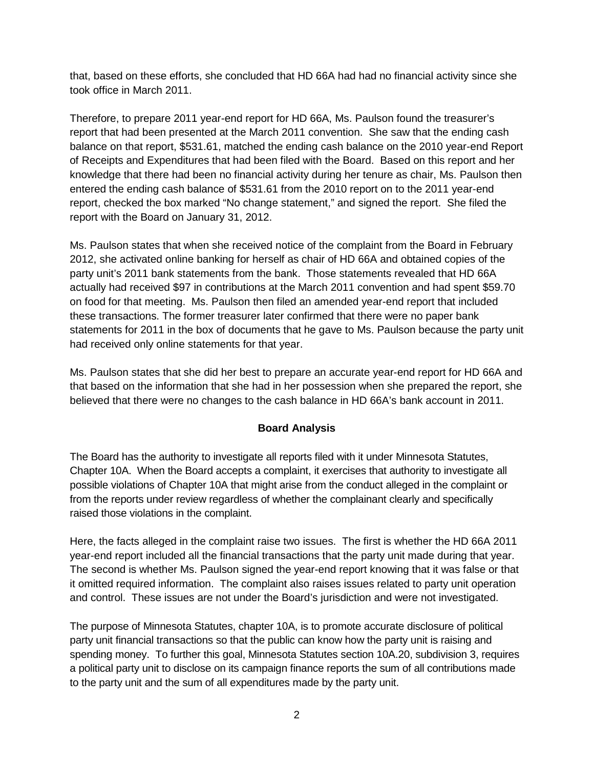that, based on these efforts, she concluded that HD 66A had had no financial activity since she took office in March 2011.

Therefore, to prepare 2011 year-end report for HD 66A, Ms. Paulson found the treasurer's report that had been presented at the March 2011 convention. She saw that the ending cash balance on that report, \$531.61, matched the ending cash balance on the 2010 year-end Report of Receipts and Expenditures that had been filed with the Board. Based on this report and her knowledge that there had been no financial activity during her tenure as chair, Ms. Paulson then entered the ending cash balance of \$531.61 from the 2010 report on to the 2011 year-end report, checked the box marked "No change statement," and signed the report. She filed the report with the Board on January 31, 2012.

Ms. Paulson states that when she received notice of the complaint from the Board in February 2012, she activated online banking for herself as chair of HD 66A and obtained copies of the party unit's 2011 bank statements from the bank. Those statements revealed that HD 66A actually had received \$97 in contributions at the March 2011 convention and had spent \$59.70 on food for that meeting. Ms. Paulson then filed an amended year-end report that included these transactions. The former treasurer later confirmed that there were no paper bank statements for 2011 in the box of documents that he gave to Ms. Paulson because the party unit had received only online statements for that year.

Ms. Paulson states that she did her best to prepare an accurate year-end report for HD 66A and that based on the information that she had in her possession when she prepared the report, she believed that there were no changes to the cash balance in HD 66A's bank account in 2011.

## **Board Analysis**

The Board has the authority to investigate all reports filed with it under Minnesota Statutes, Chapter 10A. When the Board accepts a complaint, it exercises that authority to investigate all possible violations of Chapter 10A that might arise from the conduct alleged in the complaint or from the reports under review regardless of whether the complainant clearly and specifically raised those violations in the complaint.

Here, the facts alleged in the complaint raise two issues. The first is whether the HD 66A 2011 year-end report included all the financial transactions that the party unit made during that year. The second is whether Ms. Paulson signed the year-end report knowing that it was false or that it omitted required information. The complaint also raises issues related to party unit operation and control. These issues are not under the Board's jurisdiction and were not investigated.

The purpose of Minnesota Statutes, chapter 10A, is to promote accurate disclosure of political party unit financial transactions so that the public can know how the party unit is raising and spending money. To further this goal, Minnesota Statutes section 10A.20, subdivision 3, requires a political party unit to disclose on its campaign finance reports the sum of all contributions made to the party unit and the sum of all expenditures made by the party unit.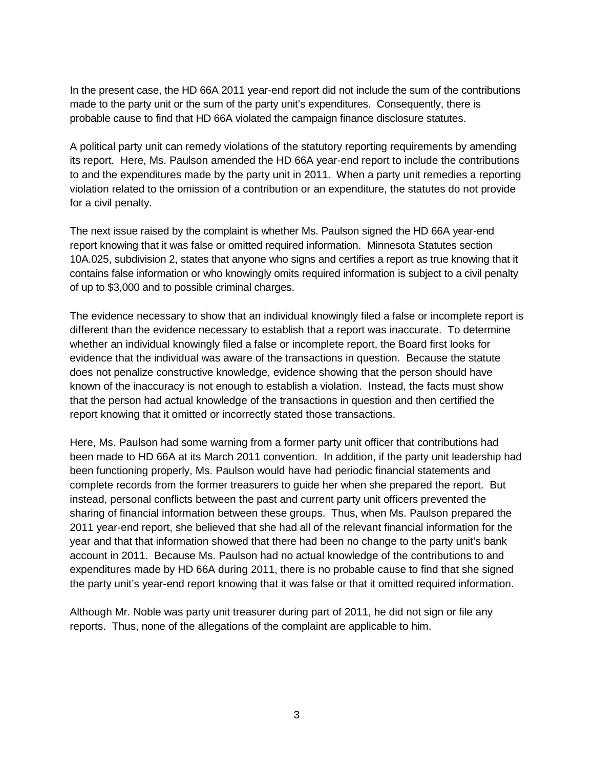In the present case, the HD 66A 2011 year-end report did not include the sum of the contributions made to the party unit or the sum of the party unit's expenditures. Consequently, there is probable cause to find that HD 66A violated the campaign finance disclosure statutes.

A political party unit can remedy violations of the statutory reporting requirements by amending its report. Here, Ms. Paulson amended the HD 66A year-end report to include the contributions to and the expenditures made by the party unit in 2011. When a party unit remedies a reporting violation related to the omission of a contribution or an expenditure, the statutes do not provide for a civil penalty.

The next issue raised by the complaint is whether Ms. Paulson signed the HD 66A year-end report knowing that it was false or omitted required information. Minnesota Statutes section 10A.025, subdivision 2, states that anyone who signs and certifies a report as true knowing that it contains false information or who knowingly omits required information is subject to a civil penalty of up to \$3,000 and to possible criminal charges.

The evidence necessary to show that an individual knowingly filed a false or incomplete report is different than the evidence necessary to establish that a report was inaccurate. To determine whether an individual knowingly filed a false or incomplete report, the Board first looks for evidence that the individual was aware of the transactions in question. Because the statute does not penalize constructive knowledge, evidence showing that the person should have known of the inaccuracy is not enough to establish a violation. Instead, the facts must show that the person had actual knowledge of the transactions in question and then certified the report knowing that it omitted or incorrectly stated those transactions.

Here, Ms. Paulson had some warning from a former party unit officer that contributions had been made to HD 66A at its March 2011 convention. In addition, if the party unit leadership had been functioning properly, Ms. Paulson would have had periodic financial statements and complete records from the former treasurers to guide her when she prepared the report. But instead, personal conflicts between the past and current party unit officers prevented the sharing of financial information between these groups. Thus, when Ms. Paulson prepared the 2011 year-end report, she believed that she had all of the relevant financial information for the year and that that information showed that there had been no change to the party unit's bank account in 2011. Because Ms. Paulson had no actual knowledge of the contributions to and expenditures made by HD 66A during 2011, there is no probable cause to find that she signed the party unit's year-end report knowing that it was false or that it omitted required information.

Although Mr. Noble was party unit treasurer during part of 2011, he did not sign or file any reports. Thus, none of the allegations of the complaint are applicable to him.